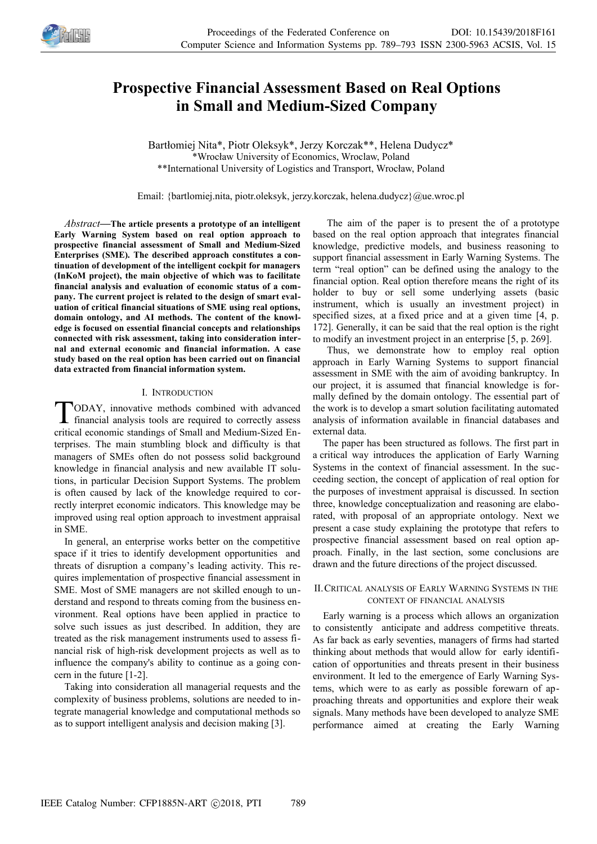

# **Prospective Financial Assessment Based on Real Options in Small and Medium-Sized Company**

Bartłomiej Nita\*, Piotr Oleksyk\*, Jerzy Korczak\*\*, Helena Dudycz\* \*Wrocław University of Economics, Wroclaw, Poland \*\*International University of Logistics and Transport, Wrocław, Poland

Email: {bartlomiej.nita, piotr.oleksyk, jerzy.korczak, helena.dudycz}@ue.wroc.pl

*Abstract—***The article presents a prototype of an intelligent Early Warning System based on real option approach to prospective financial assessment of Small and Medium-Sized Enterprises (SME). The described approach constitutes a continuation of development of the intelligent cockpit for managers (InKoM project), the main objective of which was to facilitate financial analysis and evaluation of economic status of a company. The current project is related to the design of smart evaluation of critical financial situations of SME using real options, domain ontology, and AI methods. The content of the knowledge is focused on essential financial concepts and relationships connected with risk assessment, taking into consideration internal and external economic and financial information. A case study based on the real option has been carried out on financial data extracted from financial information system.**

## I. INTRODUCTION

ODAY, innovative methods combined with advanced TODAY, innovative methods combined with advanced<br>financial analysis tools are required to correctly assess critical economic standings of Small and Medium-Sized Enterprises. The main stumbling block and difficulty is that managers of SMEs often do not possess solid background knowledge in financial analysis and new available IT solutions, in particular Decision Support Systems. The problem is often caused by lack of the knowledge required to correctly interpret economic indicators. This knowledge may be improved using real option approach to investment appraisal in SME.

In general, an enterprise works better on the competitive space if it tries to identify development opportunities and threats of disruption a company's leading activity. This requires implementation of prospective financial assessment in SME. Most of SME managers are not skilled enough to understand and respond to threats coming from the business environment. Real options have been applied in practice to solve such issues as just described. In addition, they are treated as the risk management instruments used to assess financial risk of high-risk development projects as well as to influence the company's ability to continue as a going concern in the future [1-2].

Taking into consideration all managerial requests and the complexity of business problems, solutions are needed to integrate managerial knowledge and computational methods so as to support intelligent analysis and decision making [3].

The aim of the paper is to present the of a prototype based on the real option approach that integrates financial knowledge, predictive models, and business reasoning to support financial assessment in Early Warning Systems. The term "real option" can be defined using the analogy to the financial option. Real option therefore means the right of its holder to buy or sell some underlying assets (basic instrument, which is usually an investment project) in specified sizes, at a fixed price and at a given time [4, p. 172]. Generally, it can be said that the real option is the right to modify an investment project in an enterprise [5, p. 269].

Thus, we demonstrate how to employ real option approach in Early Warning Systems to support financial assessment in SME with the aim of avoiding bankruptcy. In our project, it is assumed that financial knowledge is formally defined by the domain ontology. The essential part of the work is to develop a smart solution facilitating automated analysis of information available in financial databases and external data.

The paper has been structured as follows. The first part in a critical way introduces the application of Early Warning Systems in the context of financial assessment. In the succeeding section, the concept of application of real option for the purposes of investment appraisal is discussed. In section three, knowledge conceptualization and reasoning are elaborated, with proposal of an appropriate ontology. Next we present a case study explaining the prototype that refers to prospective financial assessment based on real option approach. Finally, in the last section, some conclusions are drawn and the future directions of the project discussed.

## II.CRITICAL ANALYSIS OF EARLY WARNING SYSTEMS IN THE CONTEXT OF FINANCIAL ANALYSIS

Early warning is a process which allows an organization to consistently anticipate and address competitive threats. As far back as early seventies, managers of firms had started thinking about methods that would allow for early identification of opportunities and threats present in their business environment. It led to the emergence of Early Warning Systems, which were to as early as possible forewarn of approaching threats and opportunities and explore their weak signals. Many methods have been developed to analyze SME performance aimed at creating the Early Warning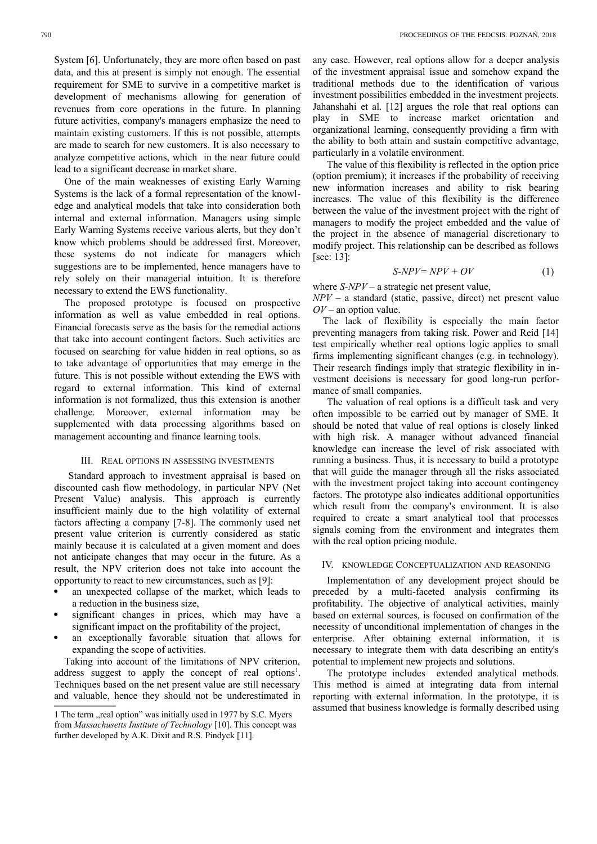System [6]. Unfortunately, they are more often based on past data, and this at present is simply not enough. The essential requirement for SME to survive in a competitive market is development of mechanisms allowing for generation of revenues from core operations in the future. In planning future activities, company's managers emphasize the need to maintain existing customers. If this is not possible, attempts are made to search for new customers. It is also necessary to analyze competitive actions, which in the near future could lead to a significant decrease in market share.

One of the main weaknesses of existing Early Warning Systems is the lack of a formal representation of the knowledge and analytical models that take into consideration both internal and external information. Managers using simple Early Warning Systems receive various alerts, but they don't know which problems should be addressed first. Moreover, these systems do not indicate for managers which suggestions are to be implemented, hence managers have to rely solely on their managerial intuition. It is therefore necessary to extend the EWS functionality.

The proposed prototype is focused on prospective information as well as value embedded in real options. Financial forecasts serve as the basis for the remedial actions that take into account contingent factors. Such activities are focused on searching for value hidden in real options, so as to take advantage of opportunities that may emerge in the future. This is not possible without extending the EWS with regard to external information. This kind of external information is not formalized, thus this extension is another challenge. Moreover, external information may be supplemented with data processing algorithms based on management accounting and finance learning tools.

## III. REAL OPTIONS IN ASSESSING INVESTMENTS

Standard approach to investment appraisal is based on discounted cash flow methodology, in particular NPV (Net Present Value) analysis. This approach is currently insufficient mainly due to the high volatility of external factors affecting a company [7-8]. The commonly used net present value criterion is currently considered as static mainly because it is calculated at a given moment and does not anticipate changes that may occur in the future. As a result, the NPV criterion does not take into account the opportunity to react to new circumstances, such as [9]:

- an unexpected collapse of the market, which leads to a reduction in the business size,
- significant changes in prices, which may have a significant impact on the profitability of the project,
- an exceptionally favorable situation that allows for expanding the scope of activities.

Taking into account of the limitations of NPV criterion, address suggest to apply the concept of real options<sup>1</sup>. Techniques based on the net present value are still necessary and valuable, hence they should not be underestimated in any case. However, real options allow for a deeper analysis of the investment appraisal issue and somehow expand the traditional methods due to the identification of various investment possibilities embedded in the investment projects. Jahanshahi et al. [12] argues the role that real options can play in SME to increase market orientation and organizational learning, consequently providing a firm with the ability to both attain and sustain competitive advantage, particularly in a volatile environment.

The value of this flexibility is reflected in the option price (option premium); it increases if the probability of receiving new information increases and ability to risk bearing increases. The value of this flexibility is the difference between the value of the investment project with the right of managers to modify the project embedded and the value of the project in the absence of managerial discretionary to modify project. This relationship can be described as follows [see: 13]:

$$
S-NPV = NPV + OV \tag{1}
$$

where *S-NPV* – a strategic net present value,

*NPV* – a standard (static, passive, direct) net present value *OV* – an option value.

The lack of flexibility is especially the main factor preventing managers from taking risk. Power and Reid [14] test empirically whether real options logic applies to small firms implementing significant changes (e.g. in technology). Their research findings imply that strategic flexibility in investment decisions is necessary for good long-run performance of small companies.

The valuation of real options is a difficult task and very often impossible to be carried out by manager of SME. It should be noted that value of real options is closely linked with high risk. A manager without advanced financial knowledge can increase the level of risk associated with running a business. Thus, it is necessary to build a prototype that will guide the manager through all the risks associated with the investment project taking into account contingency factors. The prototype also indicates additional opportunities which result from the company's environment. It is also required to create a smart analytical tool that processes signals coming from the environment and integrates them with the real option pricing module.

## IV. KNOWLEDGE CONCEPTUALIZATION AND REASONING

Implementation of any development project should be preceded by a multi-faceted analysis confirming its profitability. The objective of analytical activities, mainly based on external sources, is focused on confirmation of the necessity of unconditional implementation of changes in the enterprise. After obtaining external information, it is necessary to integrate them with data describing an entity's potential to implement new projects and solutions.

The prototype includes extended analytical methods. This method is aimed at integrating data from internal reporting with external information. In the prototype, it is assumed that business knowledge is formally described using

<sup>1</sup> The term "real option" was initially used in 1977 by S.C. Myers from *Massachusetts Institute of Technology* [10]. This concept was further developed by A.K. Dixit and R.S. Pindyck [11].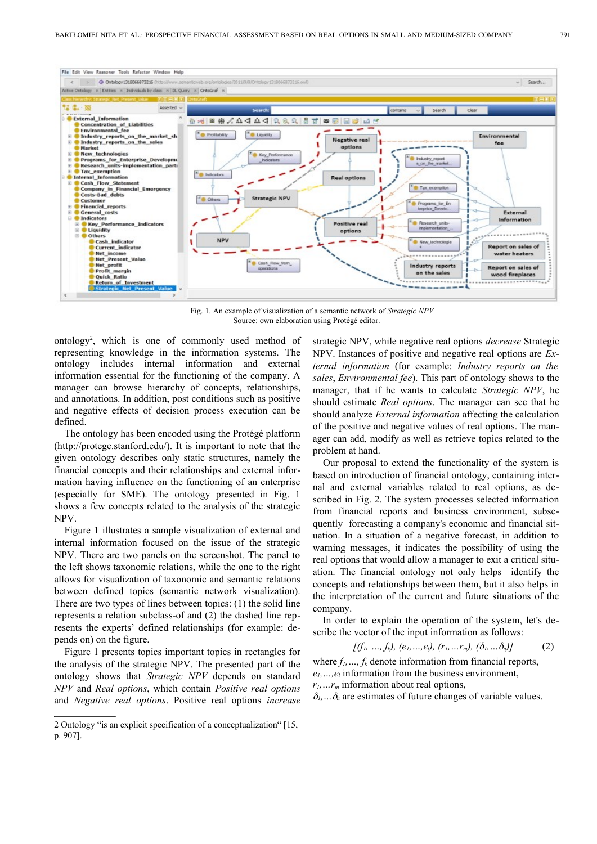

Fig. 1. An example of visualization of a semantic network of *Strategic NPV* Source: own elaboration using Protégé editor.

ontology<sup>2</sup>, which is one of commonly used method of representing knowledge in the information systems. The ontology includes internal information and external information essential for the functioning of the company. A manager can browse hierarchy of concepts, relationships, and annotations. In addition, post conditions such as positive and negative effects of decision process execution can be defined.

The ontology has been encoded using the Protégé platform (http://protege.stanford.edu/). It is important to note that the given ontology describes only static structures, namely the financial concepts and their relationships and external information having influence on the functioning of an enterprise (especially for SME). The ontology presented in Fig. 1 shows a few concepts related to the analysis of the strategic NPV.

Figure 1 illustrates a sample visualization of external and internal information focused on the issue of the strategic NPV. There are two panels on the screenshot. The panel to the left shows taxonomic relations, while the one to the right allows for visualization of taxonomic and semantic relations between defined topics (semantic network visualization). There are two types of lines between topics: (1) the solid line represents a relation subclass-of and (2) the dashed line represents the experts' defined relationships (for example: depends on) on the figure.

Figure 1 presents topics important topics in rectangles for the analysis of the strategic NPV. The presented part of the ontology shows that *Strategic NPV* depends on standard *NPV* and *Real options*, which contain *Positive real options* and *Negative real options*. Positive real options *increase* strategic NPV, while negative real options *decrease* Strategic NPV. Instances of positive and negative real options are *External information* (for example: *Industry reports on the sales*, *Environmental fee*). This part of ontology shows to the manager, that if he wants to calculate *Strategic NPV*, he should estimate *Real options*. The manager can see that he should analyze *External information* affecting the calculation of the positive and negative values of real options. The manager can add, modify as well as retrieve topics related to the problem at hand.

Our proposal to extend the functionality of the system is based on introduction of financial ontology, containing internal and external variables related to real options, as described in Fig. 2. The system processes selected information from financial reports and business environment, subsequently forecasting a company's economic and financial situation. In a situation of a negative forecast, in addition to warning messages, it indicates the possibility of using the real options that would allow a manager to exit a critical situation. The financial ontology not only helps identify the concepts and relationships between them, but it also helps in the interpretation of the current and future situations of the company.

In order to explain the operation of the system, let's describe the vector of the input information as follows:

$$
[(f_1, ..., f_k), (e_1, ..., e_l), (r_1, ... r_m), (\delta_1, ..., \delta_n)]
$$
 (2)

where *f1,…, fk* denote information from financial reports, *e1,…,el* information from the business environment, *r1,…rm* information about real options,

 $\delta_1$ ,  $\delta_n$  are estimates of future changes of variable values.

<sup>2</sup> Ontology "is an explicit specification of a conceptualization" [15, p. 907].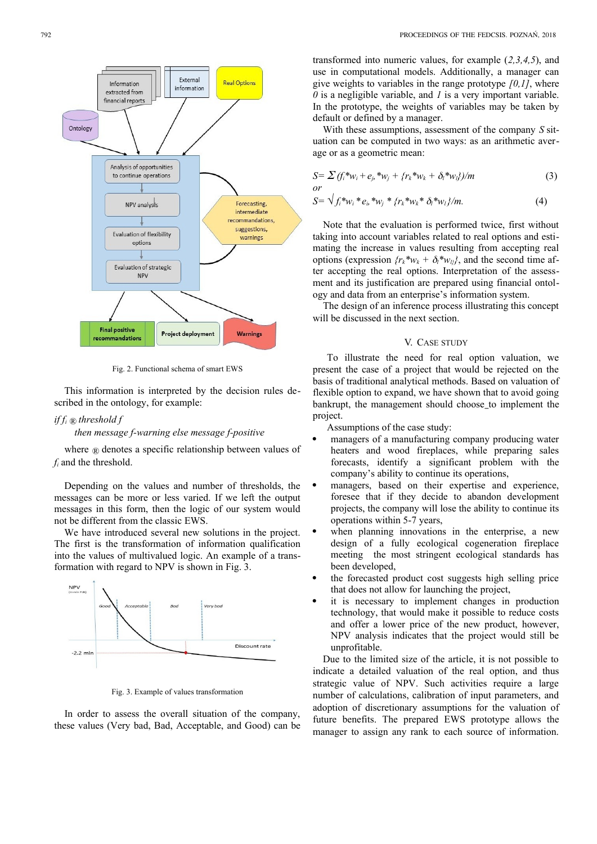

Fig. 2. Functional schema of smart EWS

This information is interpreted by the decision rules described in the ontology, for example:

# *if f<sup>i</sup> ® threshold f*

## *then message f-warning else message f-positive*

where *®* denotes a specific relationship between values of *fi* and the threshold.

Depending on the values and number of thresholds, the messages can be more or less varied. If we left the output messages in this form, then the logic of our system would not be different from the classic EWS.

We have introduced several new solutions in the project. The first is the transformation of information qualification into the values of multivalued logic. An example of a transformation with regard to NPV is shown in Fig. 3.



Fig. 3. Example of values transformation

In order to assess the overall situation of the company, these values (Very bad, Bad, Acceptable, and Good) can be transformed into numeric values, for example (*2,3,4,5*), and use in computational models. Additionally, a manager can give weights to variables in the range prototype *[0,1]*, where *0* is a negligible variable, and *1* is a very important variable. In the prototype, the weights of variables may be taken by default or defined by a manager.

With these assumptions, assessment of the company *S* situation can be computed in two ways: as an arithmetic average or as a geometric mean:

$$
S = \sum (f_i^* w_i + e_j^* w_j + \{r_k^* w_k + \delta_i^* w_j\})/m
$$
  
or (3)

$$
S = \sqrt{f_i^* w_i^* e_i^* w_j^* f r_k^* w_k^* \delta_i^* w_i} / m. \tag{4}
$$

Note that the evaluation is performed twice, first without taking into account variables related to real options and estimating the increase in values resulting from accepting real options (expression  $\{r_k^*w_k + \delta_l^*w_{li}\}$ , and the second time after accepting the real options. Interpretation of the assessment and its justification are prepared using financial ontology and data from an enterprise's information system.

The design of an inference process illustrating this concept will be discussed in the next section.

### V. CASE STUDY

To illustrate the need for real option valuation, we present the case of a project that would be rejected on the basis of traditional analytical methods. Based on valuation of flexible option to expand, we have shown that to avoid going bankrupt, the management should choose to implement the project.

Assumptions of the case study:

- managers of a manufacturing company producing water heaters and wood fireplaces, while preparing sales forecasts, identify a significant problem with the company's ability to continue its operations,
- managers, based on their expertise and experience, foresee that if they decide to abandon development projects, the company will lose the ability to continue its operations within 5-7 years,
- when planning innovations in the enterprise, a new design of a fully ecological cogeneration fireplace meeting the most stringent ecological standards has been developed,
- the forecasted product cost suggests high selling price that does not allow for launching the project,
- it is necessary to implement changes in production technology, that would make it possible to reduce costs and offer a lower price of the new product, however, NPV analysis indicates that the project would still be unprofitable.

Due to the limited size of the article, it is not possible to indicate a detailed valuation of the real option, and thus strategic value of NPV. Such activities require a large number of calculations, calibration of input parameters, and adoption of discretionary assumptions for the valuation of future benefits. The prepared EWS prototype allows the manager to assign any rank to each source of information.